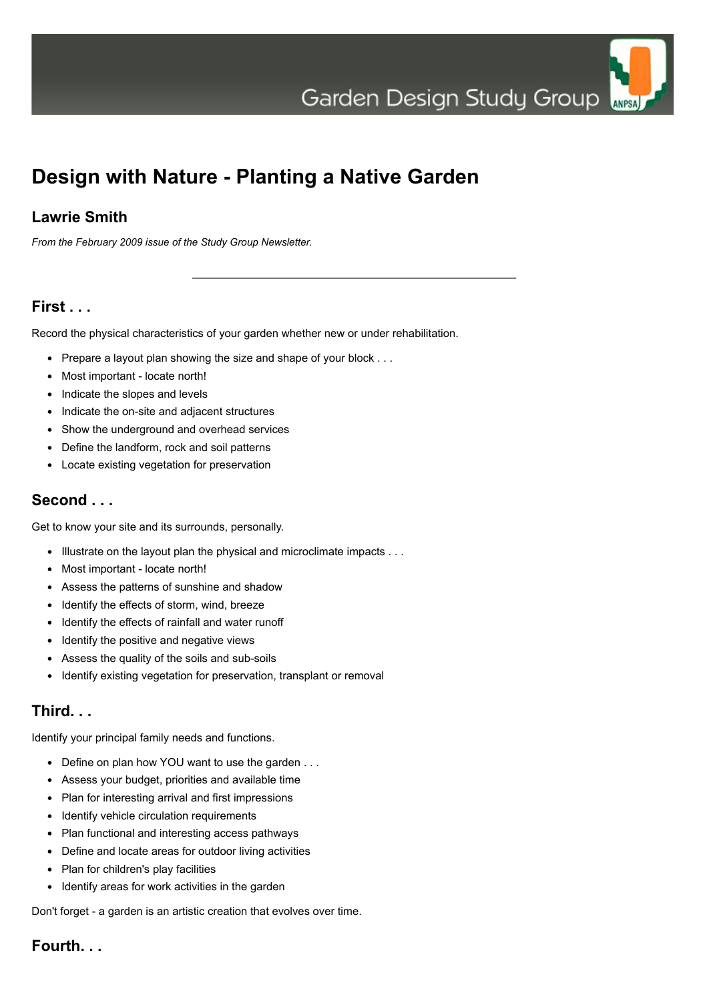Garden Design Study Group



# **Design with Nature - Planting a Native Garden**

## **Lawrie Smith**

*From the February 2009 issue of the Study Group Newsletter.*

## **First . . .**

Record the physical characteristics of your garden whether new or under rehabilitation.

- Prepare a layout plan showing the size and shape of your block . . .
- Most important locate north!
- Indicate the slopes and levels
- Indicate the on-site and adjacent structures
- Show the underground and overhead services
- Define the landform, rock and soil patterns
- Locate existing vegetation for preservation

### **Second . . .**

Get to know your site and its surrounds, personally.

- Illustrate on the layout plan the physical and microclimate impacts . . .
- Most important locate north!
- Assess the patterns of sunshine and shadow
- Identify the effects of storm, wind, breeze
- Identify the effects of rainfall and water runoff
- Identify the positive and negative views
- Assess the quality of the soils and sub-soils
- Identify existing vegetation for preservation, transplant or removal

#### **Third. . .**

Identify your principal family needs and functions.

- Define on plan how YOU want to use the garden . . .
- Assess your budget, priorities and available time
- Plan for interesting arrival and first impressions
- Identify vehicle circulation requirements
- Plan functional and interesting access pathways
- Define and locate areas for outdoor living activities
- Plan for children's play facilities
- Identify areas for work activities in the garden

Don't forget - a garden is an artistic creation that evolves over time.

## **Fourth. . .**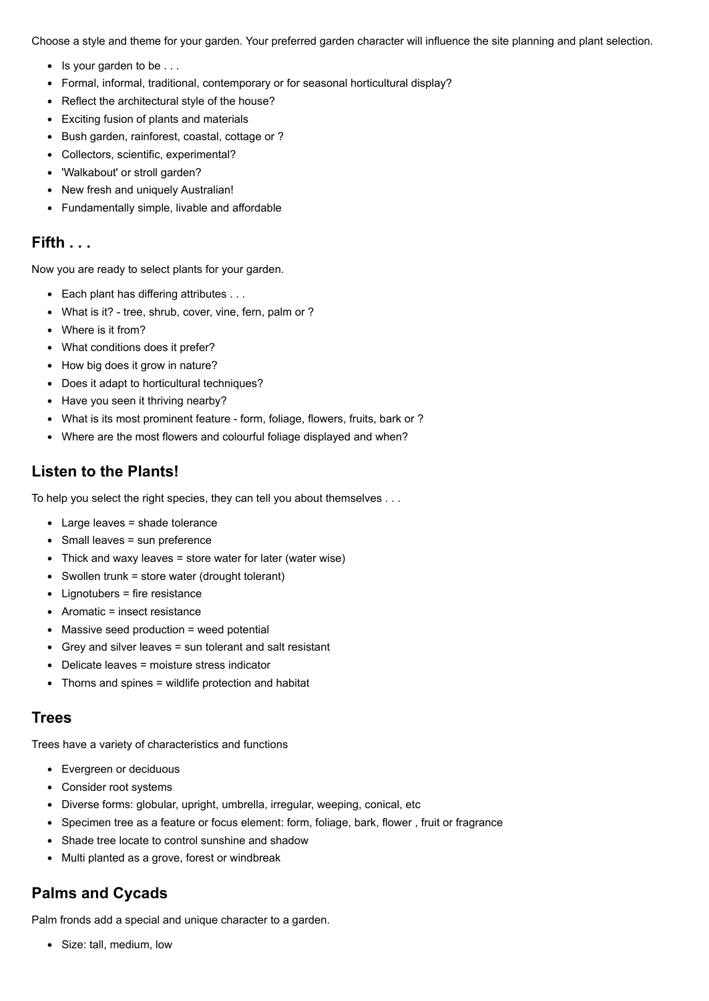Choose a style and theme for your garden. Your preferred garden character will influence the site planning and plant selection.

- Is your garden to be . . .
- Formal, informal, traditional, contemporary or for seasonal horticultural display?
- Reflect the architectural style of the house?
- Exciting fusion of plants and materials
- Bush garden, rainforest, coastal, cottage or ?
- Collectors, scientific, experimental?
- 'Walkabout' or stroll garden?
- New fresh and uniquely Australian!
- Fundamentally simple, livable and affordable

#### **Fifth . . .**

Now you are ready to select plants for your garden.

- Each plant has differing attributes . . .
- What is it? tree, shrub, cover, vine, fern, palm or ?
- Where is it from?
- What conditions does it prefer?
- How big does it grow in nature?
- Does it adapt to horticultural techniques?
- Have you seen it thriving nearby?
- What is its most prominent feature form, foliage, flowers, fruits, bark or ?
- Where are the most flowers and colourful foliage displayed and when?

## **Listen to the Plants!**

To help you select the right species, they can tell you about themselves . . .

- Large leaves = shade tolerance
- Small leaves = sun preference
- Thick and waxy leaves = store water for later (water wise)
- Swollen trunk = store water (drought tolerant)
- Lignotubers = fire resistance
- Aromatic = insect resistance
- Massive seed production = weed potential
- Grey and silver leaves = sun tolerant and salt resistant
- Delicate leaves = moisture stress indicator
- Thorns and spines = wildlife protection and habitat

#### **Trees**

Trees have a variety of characteristics and functions

- Evergreen or deciduous
- Consider root systems
- Diverse forms: globular, upright, umbrella, irregular, weeping, conical, etc
- Specimen tree as a feature or focus element: form, foliage, bark, flower , fruit or fragrance
- Shade tree locate to control sunshine and shadow
- Multi planted as a grove, forest or windbreak

## **Palms and Cycads**

Palm fronds add a special and unique character to a garden.

• Size: tall, medium, low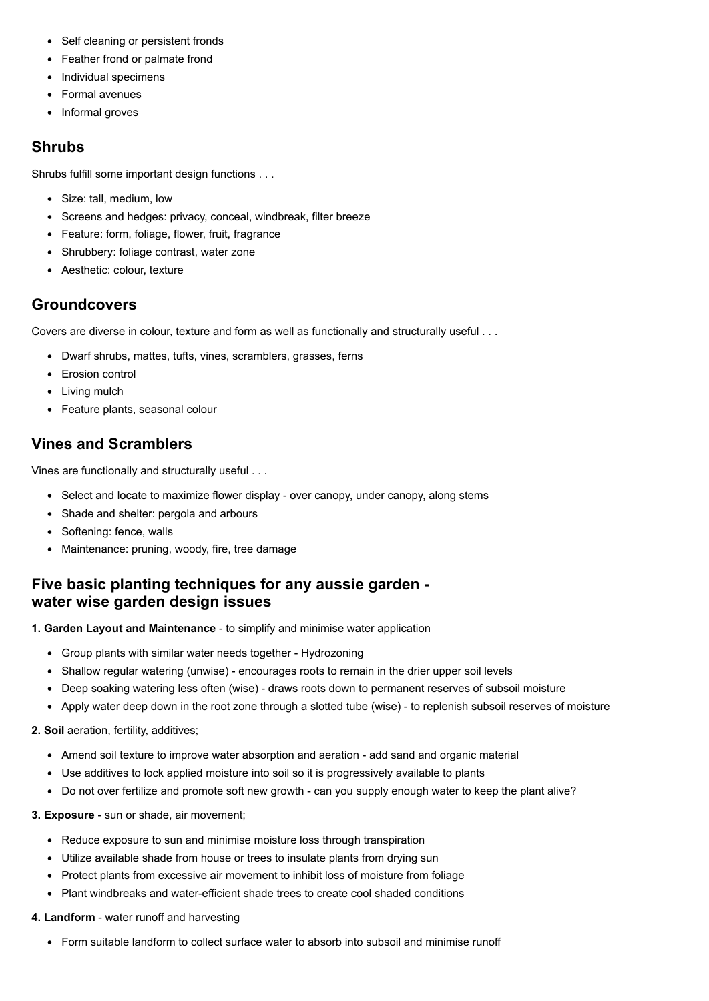- Self cleaning or persistent fronds
- Feather frond or palmate frond
- Individual specimens
- Formal avenues
- Informal groves

#### **Shrubs**

Shrubs fulfill some important design functions . . .

- Size: tall, medium, low
- Screens and hedges: privacy, conceal, windbreak, filter breeze
- Feature: form, foliage, flower, fruit, fragrance
- Shrubbery: foliage contrast, water zone
- Aesthetic: colour, texture

## **Groundcovers**

Covers are diverse in colour, texture and form as well as functionally and structurally useful . . .

- Dwarf shrubs, mattes, tufts, vines, scramblers, grasses, ferns
- Erosion control
- Living mulch
- Feature plants, seasonal colour

## **Vines and Scramblers**

Vines are functionally and structurally useful . . .

- Select and locate to maximize flower display over canopy, under canopy, along stems
- Shade and shelter: pergola and arbours
- Softening: fence, walls
- Maintenance: pruning, woody, fire, tree damage

## **Five basic planting techniques for any aussie garden water wise garden design issues**

**1. Garden Layout and Maintenance** - to simplify and minimise water application

- Group plants with similar water needs together Hydrozoning
- Shallow regular watering (unwise) encourages roots to remain in the drier upper soil levels
- Deep soaking watering less often (wise) draws roots down to permanent reserves of subsoil moisture
- Apply water deep down in the root zone through a slotted tube (wise) to replenish subsoil reserves of moisture

**2. Soil** aeration, fertility, additives;

- Amend soil texture to improve water absorption and aeration add sand and organic material
- Use additives to lock applied moisture into soil so it is progressively available to plants
- Do not over fertilize and promote soft new growth can you supply enough water to keep the plant alive?

**3. Exposure** - sun or shade, air movement;

- Reduce exposure to sun and minimise moisture loss through transpiration
- Utilize available shade from house or trees to insulate plants from drying sun
- Protect plants from excessive air movement to inhibit loss of moisture from foliage
- Plant windbreaks and water-efficient shade trees to create cool shaded conditions
- **4. Landform** water runoff and harvesting
	- Form suitable landform to collect surface water to absorb into subsoil and minimise runoff